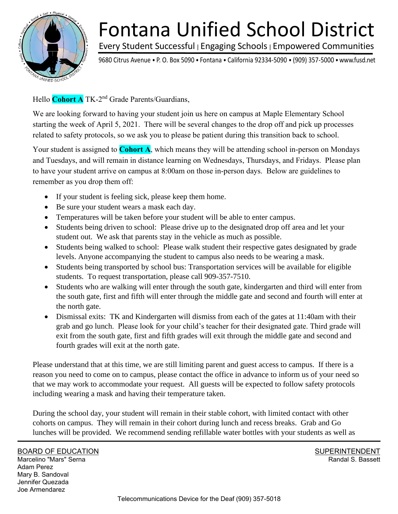

## Every Student Successful <sup>|</sup>Engaging Schools <sup>|</sup>Empowered Communities Fontana Unified School District

9680 Citrus Avenue • P. O. Box 5090 • Fontana • California 92334-5090 • (909) 357-5000 •www.fusd.net

Hello Cohort A TK-2<sup>nd</sup> Grade Parents/Guardians,

We are looking forward to having your student join us here on campus at Maple Elementary School starting the week of April 5, 2021. There will be several changes to the drop off and pick up processes related to safety protocols, so we ask you to please be patient during this transition back to school.

Your student is assigned to **Cohort A**, which means they will be attending school in-person on Mondays and Tuesdays, and will remain in distance learning on Wednesdays, Thursdays, and Fridays. Please plan to have your student arrive on campus at 8:00am on those in-person days. Below are guidelines to remember as you drop them off:

- If your student is feeling sick, please keep them home.
- Be sure your student wears a mask each day.
- Temperatures will be taken before your student will be able to enter campus.
- Students being driven to school: Please drive up to the designated drop off area and let your student out. We ask that parents stay in the vehicle as much as possible.
- Students being walked to school: Please walk student their respective gates designated by grade levels. Anyone accompanying the student to campus also needs to be wearing a mask.
- Students being transported by school bus: Transportation services will be available for eligible students. To request transportation, please call 909-357-7510.
- Students who are walking will enter through the south gate, kindergarten and third will enter from the south gate, first and fifth will enter through the middle gate and second and fourth will enter at the north gate.
- Dismissal exits: TK and Kindergarten will dismiss from each of the gates at 11:40am with their grab and go lunch. Please look for your child's teacher for their designated gate. Third grade will exit from the south gate, first and fifth grades will exit through the middle gate and second and fourth grades will exit at the north gate.

Please understand that at this time, we are still limiting parent and guest access to campus. If there is a reason you need to come on to campus, please contact the office in advance to inform us of your need so that we may work to accommodate your request. All guests will be expected to follow safety protocols including wearing a mask and having their temperature taken.

During the school day, your student will remain in their stable cohort, with limited contact with other cohorts on campus. They will remain in their cohort during lunch and recess breaks. Grab and Go lunches will be provided. We recommend sending refillable water bottles with your students as well as

BOARD OF EDUCATION

Marcelino "Mars" Serna Adam Perez Mary B. Sandoval Jennifer Quezada Joe Armendarez

SUPERINTENDENT Randal S. Bassett